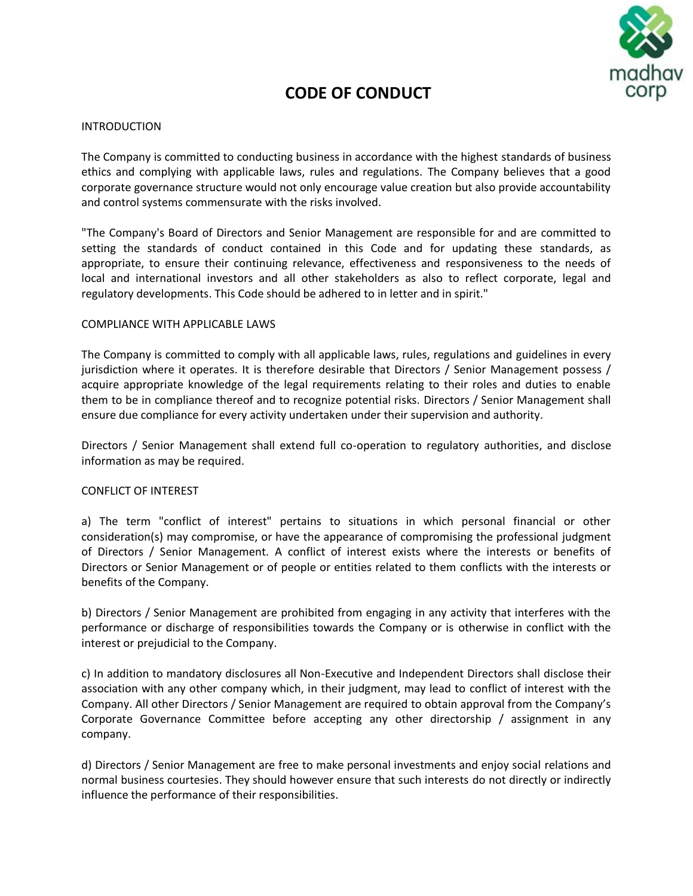

# **CODE OF CONDUCT**

# INTRODUCTION

The Company is committed to conducting business in accordance with the highest standards of business ethics and complying with applicable laws, rules and regulations. The Company believes that a good corporate governance structure would not only encourage value creation but also provide accountability and control systems commensurate with the risks involved.

"The Company's Board of Directors and Senior Management are responsible for and are committed to setting the standards of conduct contained in this Code and for updating these standards, as appropriate, to ensure their continuing relevance, effectiveness and responsiveness to the needs of local and international investors and all other stakeholders as also to reflect corporate, legal and regulatory developments. This Code should be adhered to in letter and in spirit."

# COMPLIANCE WITH APPLICABLE LAWS

The Company is committed to comply with all applicable laws, rules, regulations and guidelines in every jurisdiction where it operates. It is therefore desirable that Directors / Senior Management possess / acquire appropriate knowledge of the legal requirements relating to their roles and duties to enable them to be in compliance thereof and to recognize potential risks. Directors / Senior Management shall ensure due compliance for every activity undertaken under their supervision and authority.

Directors / Senior Management shall extend full co-operation to regulatory authorities, and disclose information as may be required.

# CONFLICT OF INTEREST

a) The term "conflict of interest" pertains to situations in which personal financial or other consideration(s) may compromise, or have the appearance of compromising the professional judgment of Directors / Senior Management. A conflict of interest exists where the interests or benefits of Directors or Senior Management or of people or entities related to them conflicts with the interests or benefits of the Company.

b) Directors / Senior Management are prohibited from engaging in any activity that interferes with the performance or discharge of responsibilities towards the Company or is otherwise in conflict with the interest or prejudicial to the Company.

c) In addition to mandatory disclosures all Non-Executive and Independent Directors shall disclose their association with any other company which, in their judgment, may lead to conflict of interest with the Company. All other Directors / Senior Management are required to obtain approval from the Company's Corporate Governance Committee before accepting any other directorship / assignment in any company.

d) Directors / Senior Management are free to make personal investments and enjoy social relations and normal business courtesies. They should however ensure that such interests do not directly or indirectly influence the performance of their responsibilities.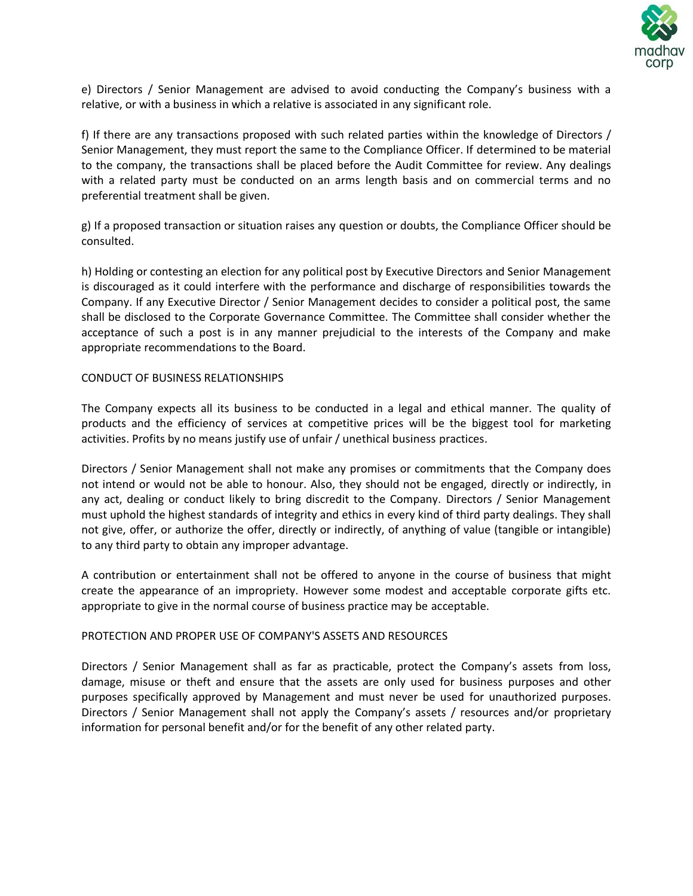

e) Directors / Senior Management are advised to avoid conducting the Company's business with a relative, or with a business in which a relative is associated in any significant role.

f) If there are any transactions proposed with such related parties within the knowledge of Directors / Senior Management, they must report the same to the Compliance Officer. If determined to be material to the company, the transactions shall be placed before the Audit Committee for review. Any dealings with a related party must be conducted on an arms length basis and on commercial terms and no preferential treatment shall be given.

g) If a proposed transaction or situation raises any question or doubts, the Compliance Officer should be consulted.

h) Holding or contesting an election for any political post by Executive Directors and Senior Management is discouraged as it could interfere with the performance and discharge of responsibilities towards the Company. If any Executive Director / Senior Management decides to consider a political post, the same shall be disclosed to the Corporate Governance Committee. The Committee shall consider whether the acceptance of such a post is in any manner prejudicial to the interests of the Company and make appropriate recommendations to the Board.

# CONDUCT OF BUSINESS RELATIONSHIPS

The Company expects all its business to be conducted in a legal and ethical manner. The quality of products and the efficiency of services at competitive prices will be the biggest tool for marketing activities. Profits by no means justify use of unfair / unethical business practices.

Directors / Senior Management shall not make any promises or commitments that the Company does not intend or would not be able to honour. Also, they should not be engaged, directly or indirectly, in any act, dealing or conduct likely to bring discredit to the Company. Directors / Senior Management must uphold the highest standards of integrity and ethics in every kind of third party dealings. They shall not give, offer, or authorize the offer, directly or indirectly, of anything of value (tangible or intangible) to any third party to obtain any improper advantage.

A contribution or entertainment shall not be offered to anyone in the course of business that might create the appearance of an impropriety. However some modest and acceptable corporate gifts etc. appropriate to give in the normal course of business practice may be acceptable.

# PROTECTION AND PROPER USE OF COMPANY'S ASSETS AND RESOURCES

Directors / Senior Management shall as far as practicable, protect the Company's assets from loss, damage, misuse or theft and ensure that the assets are only used for business purposes and other purposes specifically approved by Management and must never be used for unauthorized purposes. Directors / Senior Management shall not apply the Company's assets / resources and/or proprietary information for personal benefit and/or for the benefit of any other related party.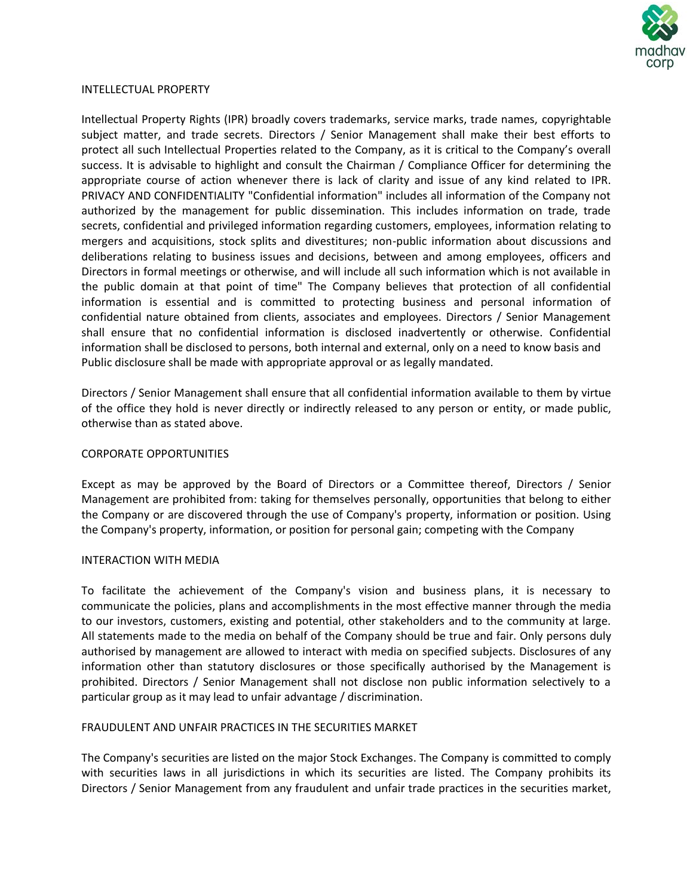

#### INTELLECTUAL PROPERTY

Intellectual Property Rights (IPR) broadly covers trademarks, service marks, trade names, copyrightable subject matter, and trade secrets. Directors / Senior Management shall make their best efforts to protect all such Intellectual Properties related to the Company, as it is critical to the Company's overall success. It is advisable to highlight and consult the Chairman / Compliance Officer for determining the appropriate course of action whenever there is lack of clarity and issue of any kind related to IPR. PRIVACY AND CONFIDENTIALITY "Confidential information" includes all information of the Company not authorized by the management for public dissemination. This includes information on trade, trade secrets, confidential and privileged information regarding customers, employees, information relating to mergers and acquisitions, stock splits and divestitures; non-public information about discussions and deliberations relating to business issues and decisions, between and among employees, officers and Directors in formal meetings or otherwise, and will include all such information which is not available in the public domain at that point of time" The Company believes that protection of all confidential information is essential and is committed to protecting business and personal information of confidential nature obtained from clients, associates and employees. Directors / Senior Management shall ensure that no confidential information is disclosed inadvertently or otherwise. Confidential information shall be disclosed to persons, both internal and external, only on a need to know basis and Public disclosure shall be made with appropriate approval or as legally mandated.

Directors / Senior Management shall ensure that all confidential information available to them by virtue of the office they hold is never directly or indirectly released to any person or entity, or made public, otherwise than as stated above.

#### CORPORATE OPPORTUNITIES

Except as may be approved by the Board of Directors or a Committee thereof, Directors / Senior Management are prohibited from: taking for themselves personally, opportunities that belong to either the Company or are discovered through the use of Company's property, information or position. Using the Company's property, information, or position for personal gain; competing with the Company

#### INTERACTION WITH MEDIA

To facilitate the achievement of the Company's vision and business plans, it is necessary to communicate the policies, plans and accomplishments in the most effective manner through the media to our investors, customers, existing and potential, other stakeholders and to the community at large. All statements made to the media on behalf of the Company should be true and fair. Only persons duly authorised by management are allowed to interact with media on specified subjects. Disclosures of any information other than statutory disclosures or those specifically authorised by the Management is prohibited. Directors / Senior Management shall not disclose non public information selectively to a particular group as it may lead to unfair advantage / discrimination.

# FRAUDULENT AND UNFAIR PRACTICES IN THE SECURITIES MARKET

The Company's securities are listed on the major Stock Exchanges. The Company is committed to comply with securities laws in all jurisdictions in which its securities are listed. The Company prohibits its Directors / Senior Management from any fraudulent and unfair trade practices in the securities market,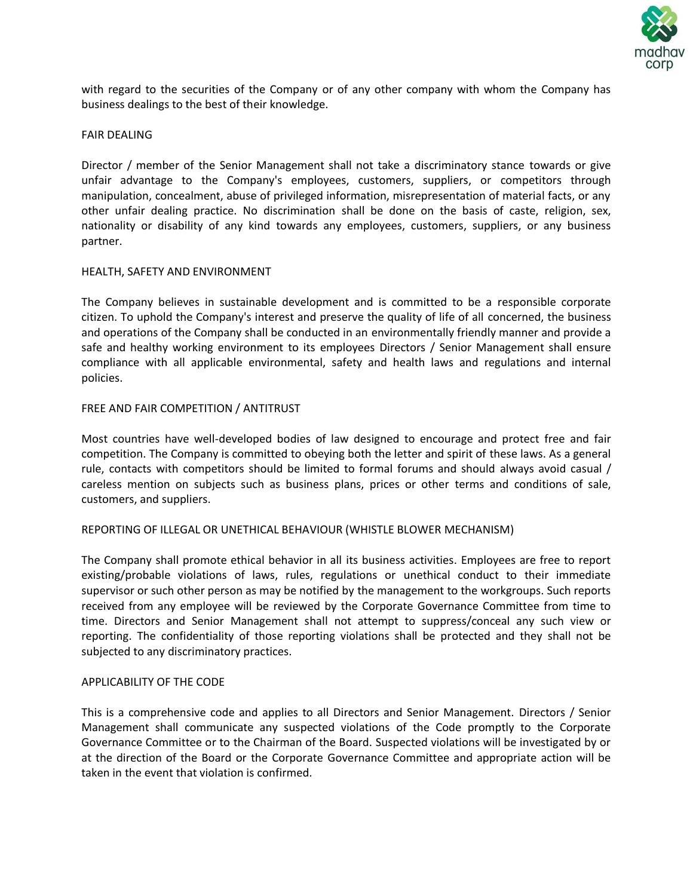

with regard to the securities of the Company or of any other company with whom the Company has business dealings to the best of their knowledge.

# FAIR DEALING

Director / member of the Senior Management shall not take a discriminatory stance towards or give unfair advantage to the Company's employees, customers, suppliers, or competitors through manipulation, concealment, abuse of privileged information, misrepresentation of material facts, or any other unfair dealing practice. No discrimination shall be done on the basis of caste, religion, sex, nationality or disability of any kind towards any employees, customers, suppliers, or any business partner.

# HEALTH, SAFETY AND ENVIRONMENT

The Company believes in sustainable development and is committed to be a responsible corporate citizen. To uphold the Company's interest and preserve the quality of life of all concerned, the business and operations of the Company shall be conducted in an environmentally friendly manner and provide a safe and healthy working environment to its employees Directors / Senior Management shall ensure compliance with all applicable environmental, safety and health laws and regulations and internal policies.

# FREE AND FAIR COMPETITION / ANTITRUST

Most countries have well-developed bodies of law designed to encourage and protect free and fair competition. The Company is committed to obeying both the letter and spirit of these laws. As a general rule, contacts with competitors should be limited to formal forums and should always avoid casual / careless mention on subjects such as business plans, prices or other terms and conditions of sale, customers, and suppliers.

#### REPORTING OF ILLEGAL OR UNETHICAL BEHAVIOUR (WHISTLE BLOWER MECHANISM)

The Company shall promote ethical behavior in all its business activities. Employees are free to report existing/probable violations of laws, rules, regulations or unethical conduct to their immediate supervisor or such other person as may be notified by the management to the workgroups. Such reports received from any employee will be reviewed by the Corporate Governance Committee from time to time. Directors and Senior Management shall not attempt to suppress/conceal any such view or reporting. The confidentiality of those reporting violations shall be protected and they shall not be subjected to any discriminatory practices.

#### APPLICABILITY OF THE CODE

This is a comprehensive code and applies to all Directors and Senior Management. Directors / Senior Management shall communicate any suspected violations of the Code promptly to the Corporate Governance Committee or to the Chairman of the Board. Suspected violations will be investigated by or at the direction of the Board or the Corporate Governance Committee and appropriate action will be taken in the event that violation is confirmed.